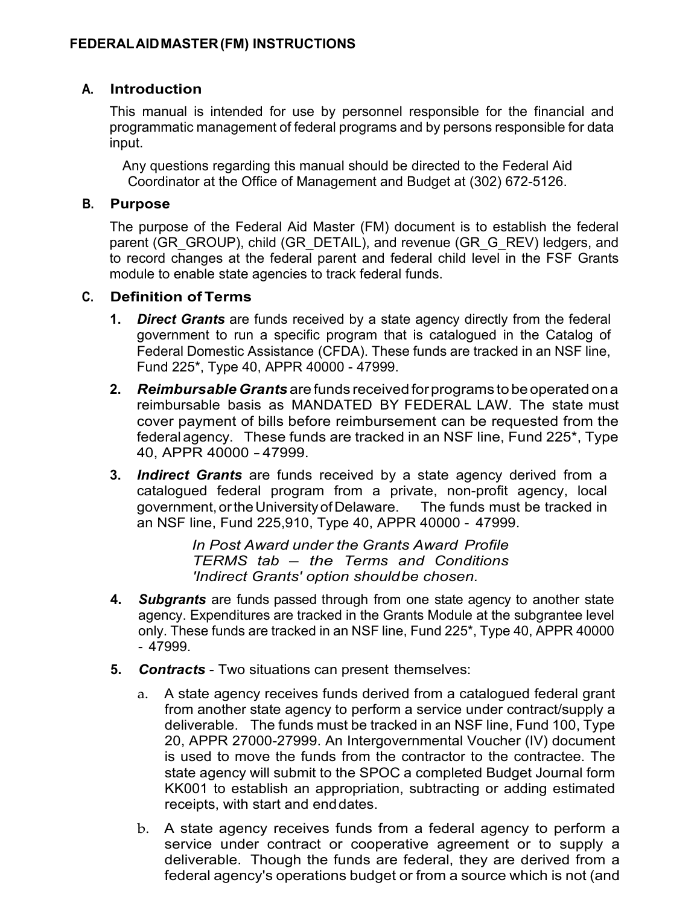### **A. Introduction**

This manual is intended for use by personnel responsible for the financial and programmatic management of federal programs and by persons responsible for data input.

Any questions regarding this manual should be directed to the Federal Aid Coordinator at the Office of Management and Budget at (302) 672-5126.

#### **B. Purpose**

The purpose of the Federal Aid Master (FM) document is to establish the federal parent (GR\_GROUP), child (GR\_DETAIL), and revenue (GR\_G\_REV) ledgers, and to record changes at the federal parent and federal child level in the FSF Grants module to enable state agencies to track federal funds.

#### **C. Definition of Terms**

- **1.** *Direct Grants* are funds received by a state agency directly from the federal government to run a specific program that is catalogued in the Catalog of Federal Domestic Assistance (CFDA). These funds are tracked in an NSF line, Fund 225\*, Type 40, APPR 40000 - 47999.
- **2.** *Reimbursable Grants* are funds received forprograms to be operated ona reimbursable basis as MANDATED BY FEDERAL LAW. The state must cover payment of bills before reimbursement can be requested from the federal agency. These funds are tracked in an NSF line, Fund 225\*, Type 40, APPR 40000 - 47999.
- **3.** *Indirect Grants* are funds received by a state agency derived from a catalogued federal program from a private, non-profit agency, local government,ortheUniversityofDelaware. The funds must be tracked in an NSF line, Fund 225,910, Type 40, APPR 40000 - 47999.

*In Post Award under the Grants Award Profile TERMS tab – the Terms and Conditions 'Indirect Grants' option shouldbe chosen.*

- **4.** *Subgrants* are funds passed through from one state agency to another state agency. Expenditures are tracked in the Grants Module at the subgrantee level only. These funds are tracked in an NSF line, Fund 225\*, Type 40, APPR 40000 - 47999.
- **5.** *Contracts*  Two situations can present themselves:
	- a. A state agency receives funds derived from a catalogued federal grant from another state agency to perform a service under contract/supply a deliverable. The funds must be tracked in an NSF line, Fund 100, Type 20, APPR 27000-27999. An Intergovernmental Voucher (IV) document is used to move the funds from the contractor to the contractee. The state agency will submit to the SPOC a completed Budget Journal form KK001 to establish an appropriation, subtracting or adding estimated receipts, with start and end dates.
	- b. A state agency receives funds from a federal agency to perform a service under contract or cooperative agreement or to supply a deliverable. Though the funds are federal, they are derived from a federal agency's operations budget or from a source which is not (and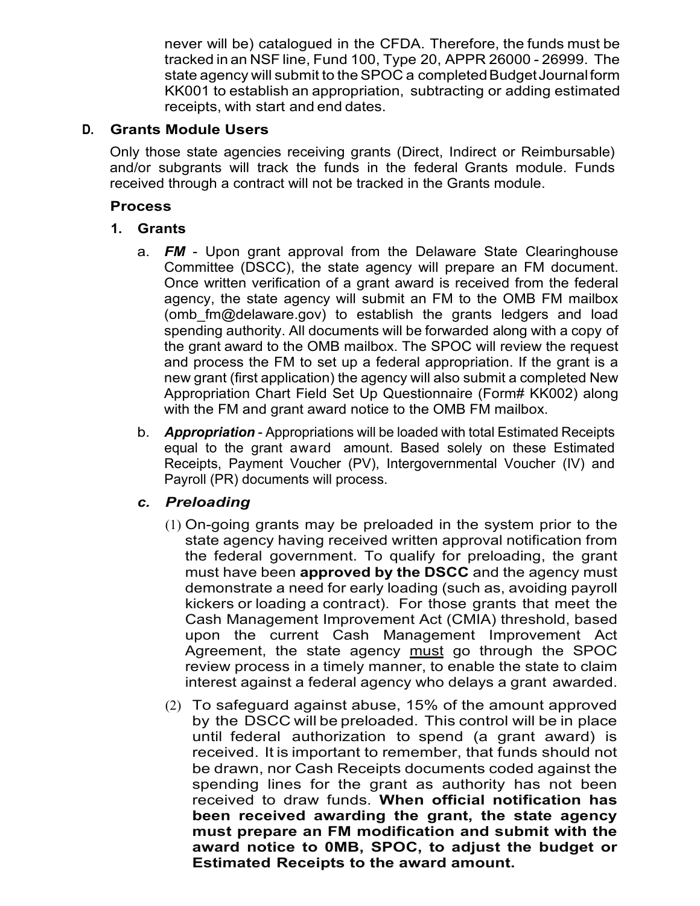never will be) catalogued in the CFDA. Therefore, the funds must be tracked in an NSF line, Fund 100, Type 20, APPR 26000 - 26999. The state agency will submit to the SPOC a completed Budget Journal form KK001 to establish an appropriation, subtracting or adding estimated receipts, with start and end dates.

# **D. Grants Module Users**

Only those state agencies receiving grants (Direct, Indirect or Reimbursable) and/or subgrants will track the funds in the federal Grants module. Funds received through a contract will not be tracked in the Grants module.

# **Process**

# **1. Grants**

- a. *FM*  Upon grant approval from the Delaware State Clearinghouse Committee (DSCC), the state agency will prepare an FM document. Once written verification of a grant award is received from the federal agency, the state agency will submit an FM to the OMB FM mailbox (omb fm@delaware.gov) to establish the grants ledgers and load spending authority. All documents will be forwarded along with a copy of the grant award to the OMB mailbox. The SPOC will review the request and process the FM to set up a federal appropriation. If the grant is a new grant (first application) the agency will also submit a completed New Appropriation Chart Field Set Up Questionnaire (Form# KK002) along with the FM and grant award notice to the OMB FM mailbox.
- b. *Appropriation*  Appropriations will be loaded with total Estimated Receipts equal to the grant award amount. Based solely on these Estimated Receipts, Payment Voucher (PV), Intergovernmental Voucher (IV) and Payroll (PR) documents will process.

# *c. Preloading*

- (1) On-going grants may be preloaded in the system prior to the state agency having received written approval notification from the federal government. To qualify for preloading, the grant must have been **approved by the DSCC** and the agency must demonstrate a need for early loading (such as, avoiding payroll kickers or loading a contract). For those grants that meet the Cash Management Improvement Act (CMIA) threshold, based upon the current Cash Management Improvement Act Agreement, the state agency must go through the SPOC review process in a timely manner, to enable the state to claim interest against a federal agency who delays a grant awarded.
- (2) To safeguard against abuse, 15% of the amount approved by the DSCC will be preloaded. This control will be in place until federal authorization to spend (a grant award) is received. It is important to remember, that funds should not be drawn, nor Cash Receipts documents coded against the spending lines for the grant as authority has not been received to draw funds. **When official notification has been received awarding the grant, the state agency must prepare an FM modification and submit with the award notice to 0MB, SPOC, to adjust the budget or Estimated Receipts to the award amount.**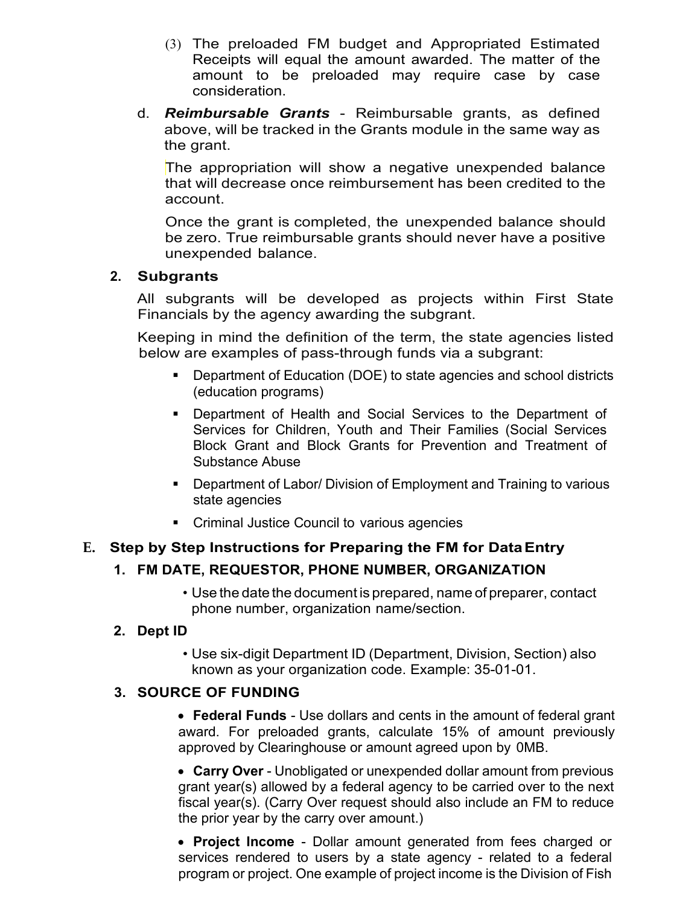- (3) The preloaded FM budget and Appropriated Estimated Receipts will equal the amount awarded. The matter of the amount to be preloaded may require case by case consideration.
- d. *Reimbursable Grants*  Reimbursable grants, as defined above, will be tracked in the Grants module in the same way as the grant.

The appropriation will show a negative unexpended balance that will decrease once reimbursement has been credited to the account.

Once the grant is completed, the unexpended balance should be zero. True reimbursable grants should never have a positive unexpended balance.

# **2. Subgrants**

All subgrants will be developed as projects within First State Financials by the agency awarding the subgrant.

Keeping in mind the definition of the term, the state agencies listed below are examples of pass-through funds via a subgrant:

- Department of Education (DOE) to state agencies and school districts (education programs)
- Department of Health and Social Services to the Department of Services for Children, Youth and Their Families (Social Services Block Grant and Block Grants for Prevention and Treatment of Substance Abuse
- **Department of Labor/ Division of Employment and Training to various** state agencies
- Criminal Justice Council to various agencies

# **E. Step by Step Instructions for Preparing the FM for DataEntry**

# **1. FM DATE, REQUESTOR, PHONE NUMBER, ORGANIZATION**

• Use the date the document is prepared, name of preparer, contact phone number, organization name/section.

#### **2. Dept ID**

• Use six-digit Department ID (Department, Division, Section) also known as your organization code. Example: 35-01-01.

#### **3. SOURCE OF FUNDING**

• **Federal Funds** - Use dollars and cents in the amount of federal grant award. For preloaded grants, calculate 15% of amount previously approved by Clearinghouse or amount agreed upon by 0MB.

• **Carry Over** - Unobligated or unexpended dollar amount from previous grant year(s) allowed by a federal agency to be carried over to the next fiscal year(s). (Carry Over request should also include an FM to reduce the prior year by the carry over amount.)

• **Project Income** - Dollar amount generated from fees charged or services rendered to users by a state agency - related to a federal program or project. One example of project income is the Division of Fish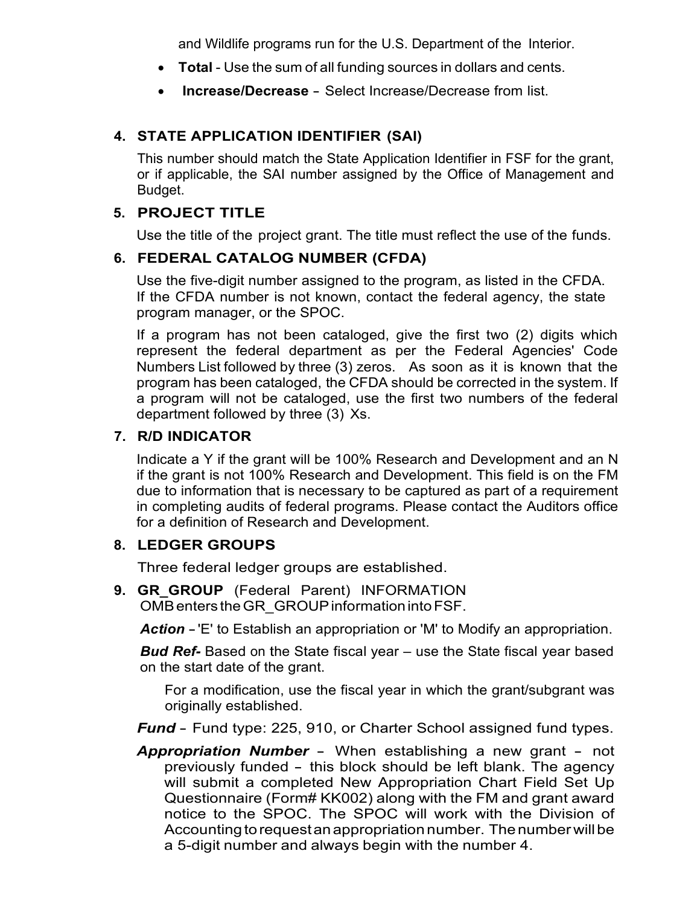and Wildlife programs run for the U.S. Department of the Interior.

- **Total** Use the sum of all funding sources in dollars and cents.
- **Increase/Decrease** Select Increase/Decrease from list.

# **4. STATE APPLICATION IDENTIFIER (SAI)**

This number should match the State Application Identifier in FSF for the grant, or if applicable, the SAI number assigned by the Office of Management and Budget.

### **5. PROJECT TITLE**

Use the title of the project grant. The title must reflect the use of the funds.

# **6. FEDERAL CATALOG NUMBER (CFDA)**

Use the five-digit number assigned to the program, as listed in the CFDA. If the CFDA number is not known, contact the federal agency, the state program manager, or the SPOC.

If a program has not been cataloged, give the first two (2) digits which represent the federal department as per the Federal Agencies' Code Numbers List followed by three (3) zeros. As soon as it is known that the program has been cataloged, the CFDA should be corrected in the system. If a program will not be cataloged, use the first two numbers of the federal department followed by three (3) Xs.

# **7. R/D INDICATOR**

Indicate a Y if the grant will be 100% Research and Development and an N if the grant is not 100% Research and Development. This field is on the FM due to information that is necessary to be captured as part of a requirement in completing audits of federal programs. Please contact the Auditors office for a definition of Research and Development.

#### **8. LEDGER GROUPS**

Three federal ledger groups are established.

**9. GR\_GROUP** (Federal Parent) INFORMATION OMB enters the GR GROUP information into FSF.

*Action* -'E' to Establish an appropriation or 'M' to Modify an appropriation.

*Bud Ref-* Based on the State fiscal year – use the State fiscal year based on the start date of the grant.

For a modification, use the fiscal year in which the grant/subgrant was originally established.

*Fund* - Fund type: 225, 910, or Charter School assigned fund types.

*Appropriation Number* - When establishing a new grant - not previously funded - this block should be left blank. The agency will submit a completed New Appropriation Chart Field Set Up Questionnaire (Form# KK002) along with the FM and grant award notice to the SPOC. The SPOC will work with the Division of Accounting to request an appropriation number. The number will be a 5-digit number and always begin with the number 4.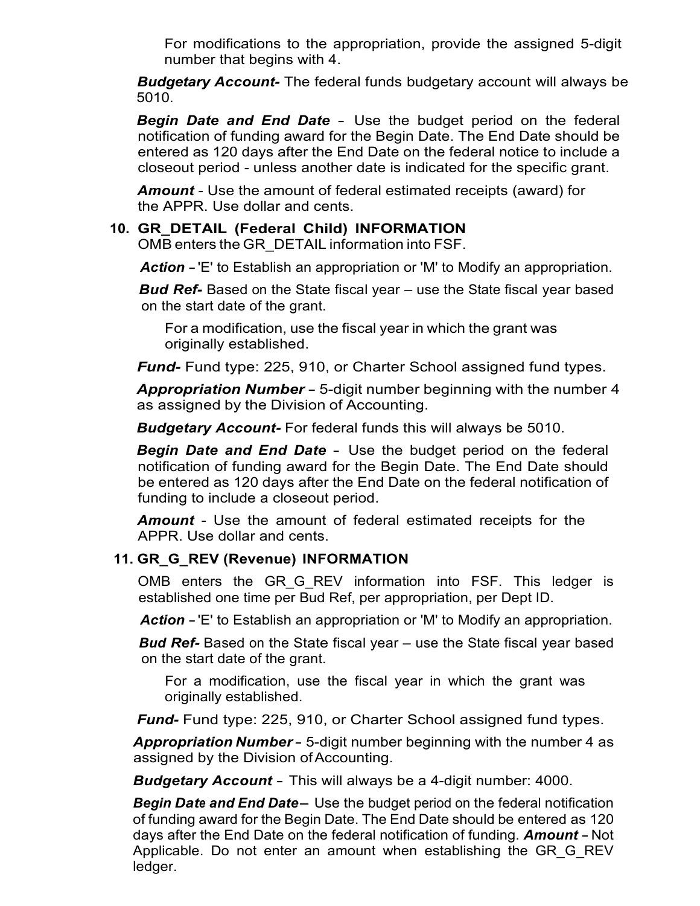For modifications to the appropriation, provide the assigned 5-digit number that begins with 4.

*Budgetary Account-* The federal funds budgetary account will always be 5010.

*Begin Date and End Date* - Use the budget period on the federal notification of funding award for the Begin Date. The End Date should be entered as 120 days after the End Date on the federal notice to include a closeout period - unless another date is indicated for the specific grant.

*Amount* - Use the amount of federal estimated receipts (award) for the APPR. Use dollar and cents.

### **10. GR\_DETAIL (Federal Child) INFORMATION**

OMB enters the GR\_DETAIL information into FSF.

*Action* -'E' to Establish an appropriation or 'M' to Modify an appropriation.

*Bud Ref-* Based on the State fiscal year – use the State fiscal year based on the start date of the grant.

For a modification, use the fiscal year in which the grant was originally established.

*Fund-* Fund type: 225, 910, or Charter School assigned fund types.

*Appropriation Number* - 5-digit number beginning with the number <sup>4</sup> as assigned by the Division of Accounting.

*Budgetary Account-* For federal funds this will always be 5010.

*Begin Date and End Date* - Use the budget period on the federal notification of funding award for the Begin Date. The End Date should be entered as 120 days after the End Date on the federal notification of funding to include a closeout period.

*Amount* - Use the amount of federal estimated receipts for the APPR. Use dollar and cents.

#### **11. GR\_G\_REV (Revenue) INFORMATION**

OMB enters the GR G REV information into FSF. This ledger is established one time per Bud Ref, per appropriation, per Dept ID.

*Action* -'E' to Establish an appropriation or 'M' to Modify an appropriation.

*Bud Ref-* Based on the State fiscal year – use the State fiscal year based on the start date of the grant.

For a modification, use the fiscal year in which the grant was originally established.

*Fund-* Fund type: 225, 910, or Charter School assigned fund types.

*Appropriation Number*- 5-digit number beginning with the number 4 as assigned by the Division ofAccounting.

*Budgetary Account* - This will always be a 4-digit number: 4000.

*Begin Date and End Date*- Use the budget period on the federal notification of funding award for the Begin Date. The End Date should be entered as 120 days after the End Date on the federal notification of funding. *Amount* - Not Applicable. Do not enter an amount when establishing the GR G REV ledger.